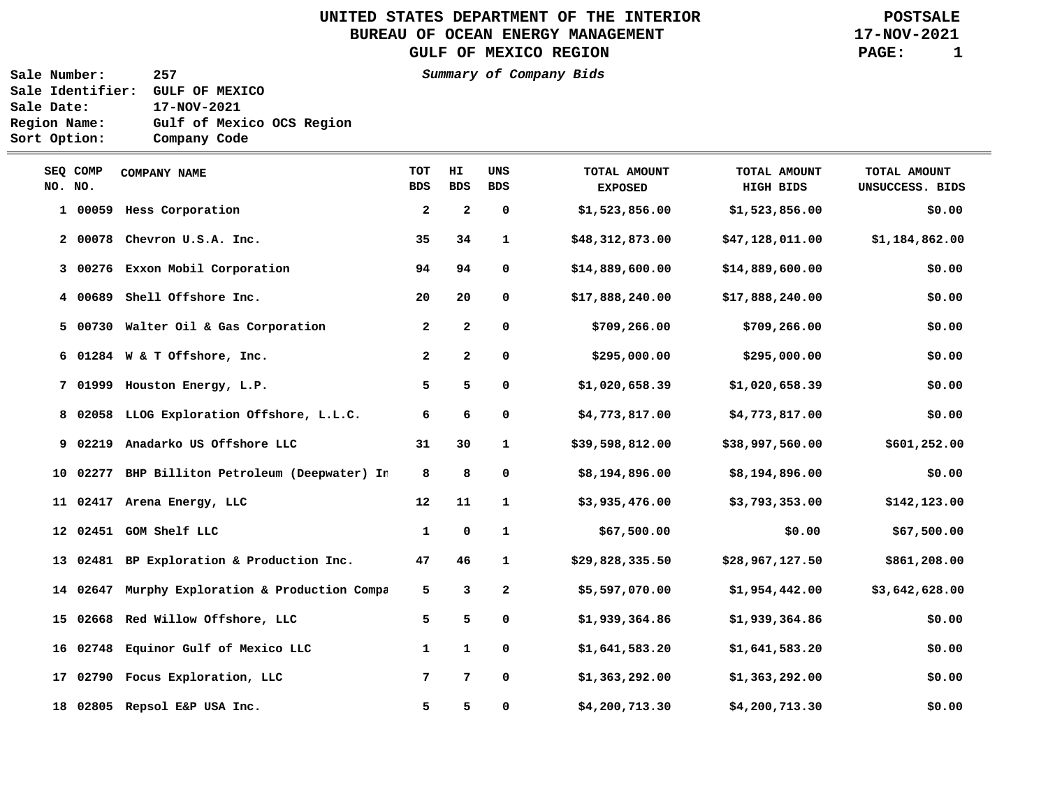**UNITED STATES DEPARTMENT OF THE INTERIOR BUREAU OF OCEAN ENERGY MANAGEMENT GULF OF MEXICO REGION**

**POSTSALE 17-NOV-2021 PAGE: 1**

**Sale Number: 257 Summary of Company Bids Sale Identifier: GULF OF MEXICO Sale Date: 17-NOV-2021 Region Name: Gulf of Mexico OCS Region Sort Option: Company Code**

\_\_\_

| NO. NO. | SEQ COMP | <b>COMPANY NAME</b>                            | <b>TOT</b><br><b>BDS</b> | HI.<br><b>BDS</b>       | UNS<br><b>BDS</b> | TOTAL AMOUNT<br><b>EXPOSED</b> | TOTAL AMOUNT<br>HIGH BIDS | TOTAL AMOUNT<br>UNSUCCESS. BIDS |
|---------|----------|------------------------------------------------|--------------------------|-------------------------|-------------------|--------------------------------|---------------------------|---------------------------------|
|         |          | 1 00059 Hess Corporation                       | $\overline{2}$           | $\overline{\mathbf{2}}$ | 0                 | \$1,523,856.00                 | \$1,523,856.00            | \$0.00                          |
|         | 200078   | Chevron U.S.A. Inc.                            | 35                       | 34                      | $\mathbf{1}$      | \$48,312,873.00                | \$47,128,011.00           | \$1,184,862.00                  |
|         |          | 3 00276 Exxon Mobil Corporation                | 94                       | 94                      | 0                 | \$14,889,600.00                | \$14,889,600.00           | \$0.00                          |
|         | 400689   | Shell Offshore Inc.                            | 20                       | 20                      | 0                 | \$17,888,240.00                | \$17,888,240.00           | \$0.00                          |
|         |          | 5 00730 Walter Oil & Gas Corporation           | $\mathbf{2}$             | $\mathbf{2}$            | 0                 | \$709, 266.00                  | \$709, 266.00             | \$0.00                          |
|         |          | 6 01284 W & T Offshore, Inc.                   | $\mathbf{2}$             | $\mathbf{2}$            | 0                 | \$295,000.00                   | \$295,000.00              | \$0.00                          |
|         |          | 7 01999 Houston Energy, L.P.                   | 5                        | 5                       | 0                 | \$1,020,658.39                 | \$1,020,658.39            | \$0.00                          |
|         |          | 8 02058 LLOG Exploration Offshore, L.L.C.      | 6                        | 6                       | 0                 | \$4,773,817.00                 | \$4,773,817.00            | \$0.00                          |
|         | 9 02219  | Anadarko US Offshore LLC                       | 31                       | 30                      | $\mathbf{1}$      | \$39,598,812.00                | \$38,997,560.00           | \$601,252.00                    |
|         | 10 02277 | BHP Billiton Petroleum (Deepwater) In          | 8                        | 8                       | 0                 | \$8,194,896.00                 | \$8,194,896.00            | \$0.00                          |
|         |          | 11 02417 Arena Energy, LLC                     | 12                       | 11                      | $\mathbf{1}$      | \$3,935,476.00                 | \$3,793,353.00            | \$142,123.00                    |
|         |          | 12 02451 GOM Shelf LLC                         | 1                        | 0                       | $\mathbf{1}$      | \$67,500.00                    | \$0.00                    | \$67,500.00                     |
|         |          | 13 02481 BP Exploration & Production Inc.      | 47                       | 46                      | $\mathbf{1}$      | \$29,828,335.50                | \$28,967,127.50           | \$861,208.00                    |
|         |          | 14 02647 Murphy Exploration & Production Compa | 5                        | 3                       | 2                 | \$5,597,070.00                 | \$1,954,442.00            | \$3,642,628.00                  |
|         |          | 15 02668 Red Willow Offshore, LLC              | 5                        | 5                       | 0                 | \$1,939,364.86                 | \$1,939,364.86            | \$0.00                          |
|         |          | 16 02748 Equinor Gulf of Mexico LLC            | 1                        | $\mathbf{1}$            | 0                 | \$1,641,583.20                 | \$1,641,583.20            | \$0.00                          |
|         |          | 17 02790 Focus Exploration, LLC                | 7                        | 7                       | 0                 | \$1,363,292.00                 | \$1,363,292.00            | \$0.00                          |
|         |          | 18 02805 Repsol E&P USA Inc.                   | 5                        | 5                       | 0                 | \$4,200,713.30                 | \$4,200,713.30            | \$0.00                          |